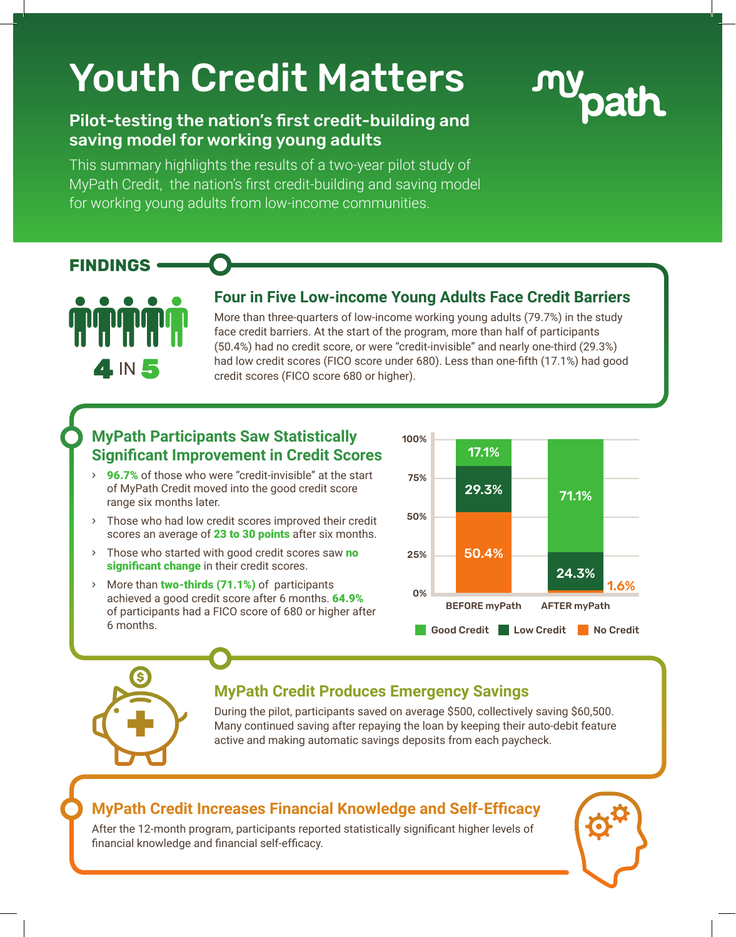# Youth Credit Matters

## Pilot-testing the nation's first credit-building and saving model for working young adults

This summary highlights the results of a two-year pilot study of MyPath Credit, the nation's first credit-building and saving model for working young adults from low-income communities.



#### **FINDINGS**



#### **Four in Five Low-income Young Adults Face Credit Barriers**

More than three-quarters of low-income working young adults (79.7%) in the study face credit barriers. At the start of the program, more than half of participants (50.4%) had no credit score, or were "credit-invisible" and nearly one-third (29.3%) had low credit scores (FICO score under 680). Less than one-fifth (17.1%) had good credit scores (FICO score 680 or higher).

### **MyPath Participants Saw Statistically Significant Improvement in Credit Scores**

- **96.7%** of those who were "credit-invisible" at the start of MyPath Credit moved into the good credit score range six months later.
- Those who had low credit scores improved their credit scores an average of 23 to 30 points after six months.
- $\rightarrow$  Those who started with good credit scores saw no significant change in their credit scores.
- > More than two-thirds (71.1%) of participants achieved a good credit score after 6 months. 64.9% of participants had a FICO score of 680 or higher after 6 months.



# **MyPath Credit Produces Emergency Savings**

During the pilot, participants saved on average \$500, collectively saving \$60,500. Many continued saving after repaying the loan by keeping their auto-debit feature active and making automatic savings deposits from each paycheck.

#### **MyPath Credit Increases Financial Knowledge and Self-Efficacy**

After the 12-month program, participants reported statistically significant higher levels of financial knowledge and financial self-efficacy.